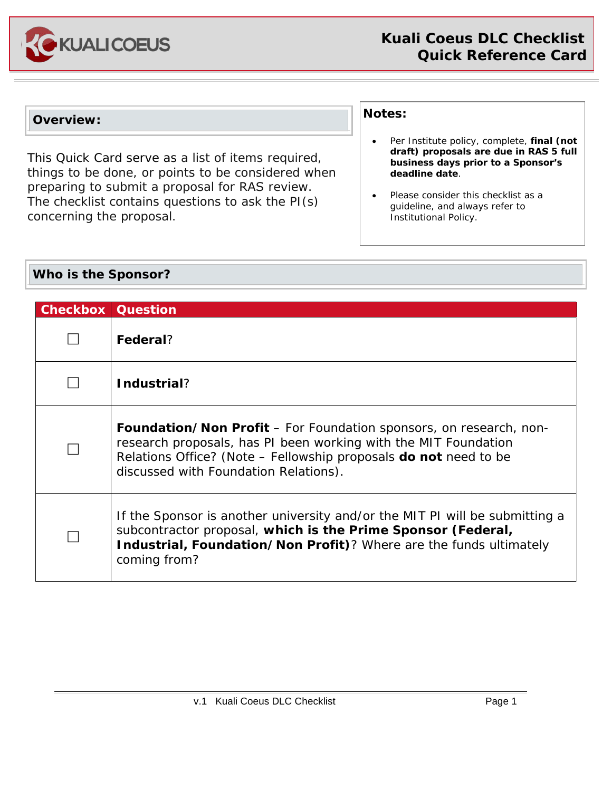

#### **Overview:**

This Quick Card serve as a list of items required, things to be done, or points to be considered when preparing to submit a proposal for RAS review. The checklist contains questions to ask the PI(s) concerning the proposal.

#### **Notes:**

- Per Institute policy, complete, **final (not draft) proposals are due in RAS 5 full business days prior to a Sponsor's deadline date**.
- Please consider this checklist as a guideline, and always refer to Institutional Policy.

#### **Who is the Sponsor?**

| <b>Checkbox Question</b> |                                                                                                                                                                                                                                                           |
|--------------------------|-----------------------------------------------------------------------------------------------------------------------------------------------------------------------------------------------------------------------------------------------------------|
|                          | Federal?                                                                                                                                                                                                                                                  |
|                          | Industrial?                                                                                                                                                                                                                                               |
|                          | <b>Foundation/Non Profit</b> – For Foundation sponsors, on research, non-<br>research proposals, has PI been working with the MIT Foundation<br>Relations Office? (Note - Fellowship proposals do not need to be<br>discussed with Foundation Relations). |
|                          | If the Sponsor is another university and/or the MIT PI will be submitting a<br>subcontractor proposal, which is the Prime Sponsor (Federal,<br>Industrial, Foundation/Non Profit)? Where are the funds ultimately<br>coming from?                         |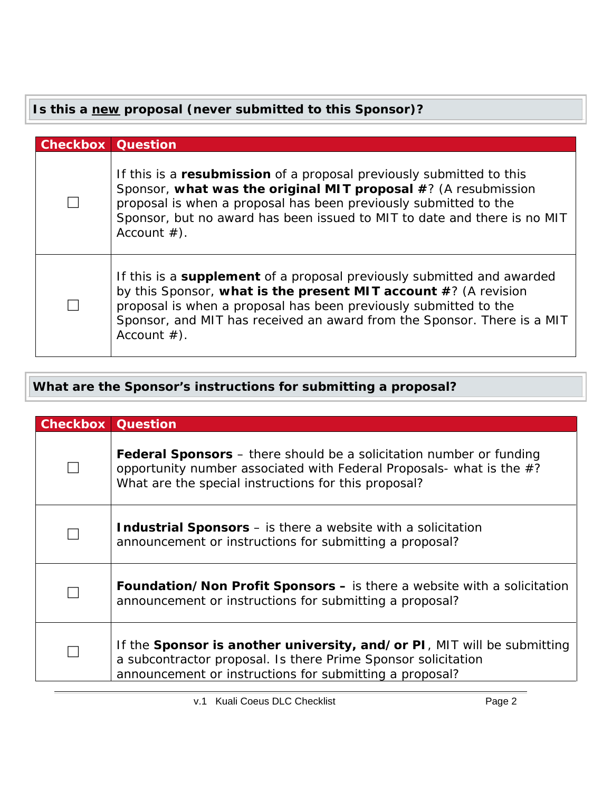## **Is this a new proposal (never submitted to this Sponsor)?**

| <b>Checkbox Question</b> |                                                                                                                                                                                                                                                                                                                   |
|--------------------------|-------------------------------------------------------------------------------------------------------------------------------------------------------------------------------------------------------------------------------------------------------------------------------------------------------------------|
|                          | If this is a resubmission of a proposal previously submitted to this<br>Sponsor, what was the original MIT proposal #? (A resubmission<br>proposal is when a proposal has been previously submitted to the<br>Sponsor, but no award has been issued to MIT to date and there is no MIT<br>Account $#$ ).          |
|                          | If this is a <b>supplement</b> of a proposal previously submitted and awarded<br>by this Sponsor, what is the present MIT account #? (A revision<br>proposal is when a proposal has been previously submitted to the<br>Sponsor, and MIT has received an award from the Sponsor. There is a MIT<br>Account $#$ ). |

## **What are the Sponsor's instructions for submitting a proposal?**

| <b>Checkbox Question</b> |                                                                                                                                                                                                              |  |
|--------------------------|--------------------------------------------------------------------------------------------------------------------------------------------------------------------------------------------------------------|--|
|                          | <b>Federal Sponsors</b> – there should be a solicitation number or funding<br>opportunity number associated with Federal Proposals- what is the $#?$<br>What are the special instructions for this proposal? |  |
|                          | <b>Industrial Sponsors</b> – is there a website with a solicitation<br>announcement or instructions for submitting a proposal?                                                                               |  |
|                          | <b>Foundation/Non Profit Sponsors – is there a website with a solicitation</b><br>announcement or instructions for submitting a proposal?                                                                    |  |
|                          | If the Sponsor is another university, and/or PI, MIT will be submitting<br>a subcontractor proposal. Is there Prime Sponsor solicitation<br>announcement or instructions for submitting a proposal?          |  |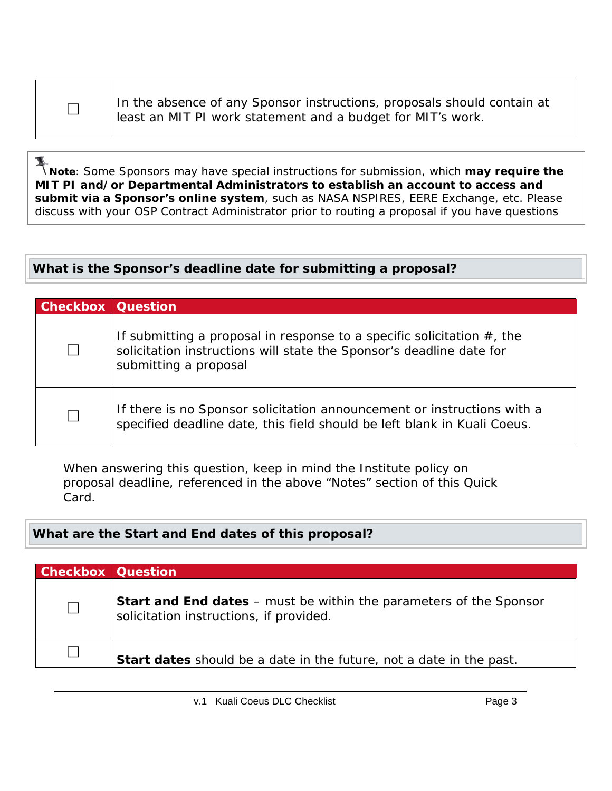In the absence of any Sponsor instructions, proposals should contain at least an MIT PI work statement and a budget for MIT's work.

Note: Some Sponsors may have special instructions for submission, which **may require the**<br>Note: Some Sponsors may have special instructions for submission, which **may require the MIT PI and/or Departmental Administrators to establish an account to access and submit via a Sponsor's online system**, such as NASA NSPIRES, EERE Exchange, etc. Please discuss with your OSP Contract Administrator prior to routing a proposal if you have questions

### **What is the Sponsor's deadline date for submitting a proposal?**

| <b>Checkbox Question</b> |                                                                                                                                                                            |
|--------------------------|----------------------------------------------------------------------------------------------------------------------------------------------------------------------------|
|                          | If submitting a proposal in response to a specific solicitation $#$ , the<br>solicitation instructions will state the Sponsor's deadline date for<br>submitting a proposal |
| $\perp$                  | If there is no Sponsor solicitation announcement or instructions with a<br>specified deadline date, this field should be left blank in Kuali Coeus.                        |

When answering this question, keep in mind the Institute policy on proposal deadline, referenced in the above "Notes" section of this Quick Card.

### **What are the Start and End dates of this proposal?**

| <b>Checkbox Question</b> |                                                                                                                      |
|--------------------------|----------------------------------------------------------------------------------------------------------------------|
| $\Box$                   | <b>Start and End dates</b> – must be within the parameters of the Sponsor<br>solicitation instructions, if provided. |
|                          | <b>Start dates</b> should be a date in the future, not a date in the past.                                           |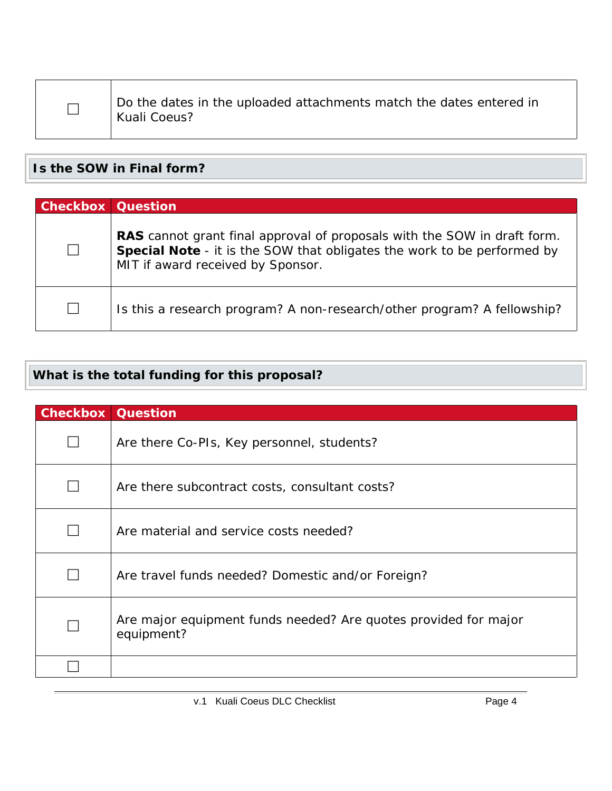|--|

 Do the dates in the uploaded attachments match the dates entered in Kuali Coeus?

**Is the SOW in Final form?**

| <b>Checkbox Question</b> |                                                                                                                                                                                                 |
|--------------------------|-------------------------------------------------------------------------------------------------------------------------------------------------------------------------------------------------|
|                          | RAS cannot grant final approval of proposals with the SOW in draft form.<br><b>Special Note</b> - it is the SOW that obligates the work to be performed by<br>MIT if award received by Sponsor. |
| $\perp$                  | Is this a research program? A non-research/other program? A fellowship?                                                                                                                         |

# **What is the total funding for this proposal?**

| <b>Checkbox Question</b> |                                                                               |
|--------------------------|-------------------------------------------------------------------------------|
|                          | Are there Co-PIs, Key personnel, students?                                    |
|                          | Are there subcontract costs, consultant costs?                                |
|                          | Are material and service costs needed?                                        |
|                          | Are travel funds needed? Domestic and/or Foreign?                             |
|                          | Are major equipment funds needed? Are quotes provided for major<br>equipment? |
|                          |                                                                               |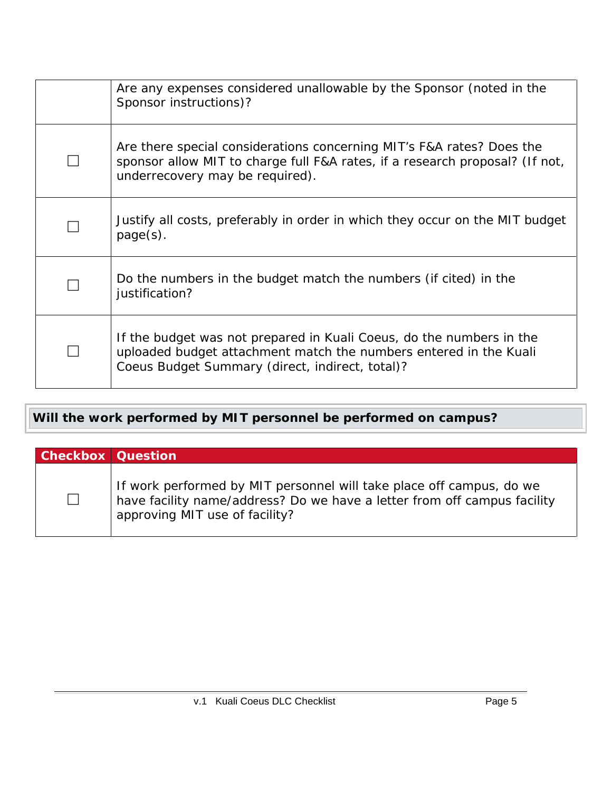| Are any expenses considered unallowable by the Sponsor (noted in the<br>Sponsor instructions)?                                                                                               |
|----------------------------------------------------------------------------------------------------------------------------------------------------------------------------------------------|
| Are there special considerations concerning MIT's F&A rates? Does the<br>sponsor allow MIT to charge full F&A rates, if a research proposal? (If not,<br>underrecovery may be required).     |
| Justify all costs, preferably in order in which they occur on the MIT budget<br>$page(s)$ .                                                                                                  |
| Do the numbers in the budget match the numbers (if cited) in the<br>justification?                                                                                                           |
| If the budget was not prepared in Kuali Coeus, do the numbers in the<br>uploaded budget attachment match the numbers entered in the Kuali<br>Coeus Budget Summary (direct, indirect, total)? |

# **Will the work performed by MIT personnel be performed on campus?**

| <b>Checkbox Question</b> |                                                                                                                                                                                    |
|--------------------------|------------------------------------------------------------------------------------------------------------------------------------------------------------------------------------|
| $\Box$                   | If work performed by MIT personnel will take place off campus, do we<br>have facility name/address? Do we have a letter from off campus facility<br>approving MIT use of facility? |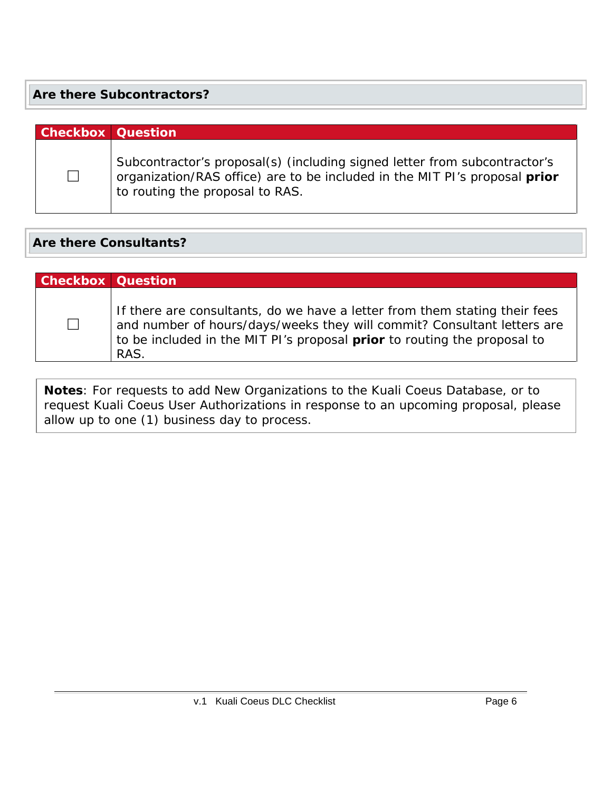#### **Are there Subcontractors?**

# **Checkbox Question**  $\Box$ Subcontractor's proposal(s) (including signed letter from subcontractor's organization/RAS office) are to be included in the MIT PI's proposal *prior*  to routing the proposal to RAS.

### **Are there Consultants?**

| <b>Checkbox Question</b> |                                                                                                                                                                                                                                                  |
|--------------------------|--------------------------------------------------------------------------------------------------------------------------------------------------------------------------------------------------------------------------------------------------|
| $\Box$                   | If there are consultants, do we have a letter from them stating their fees<br>and number of hours/days/weeks they will commit? Consultant letters are<br>to be included in the MIT PI's proposal <b>prior</b> to routing the proposal to<br>RAS. |

**Notes**: For requests to add New Organizations to the Kuali Coeus Database, or to request Kuali Coeus User Authorizations in response to an upcoming proposal, please allow up to one (1) business day to process.